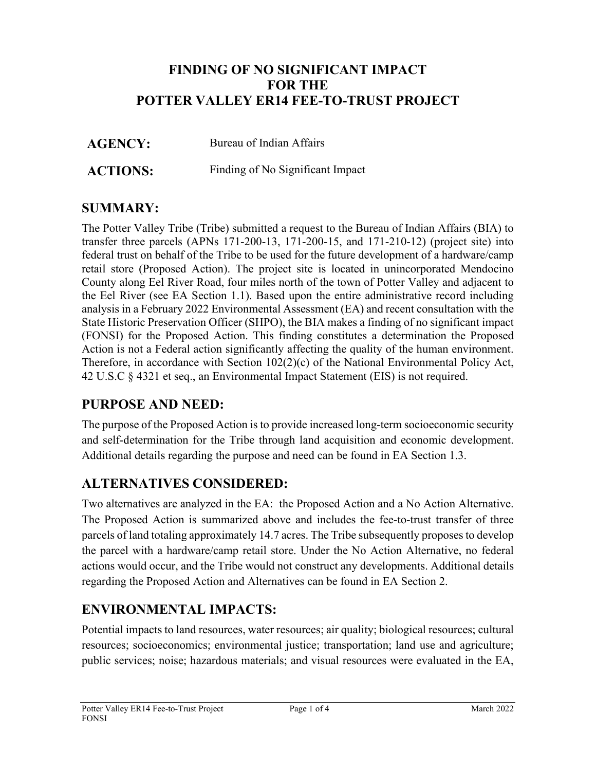# **FINDING OF NO SIGNIFICANT IMPACT FOR THE POTTER VALLEY ER14 FEE-TO-TRUST PROJECT**

**AGENCY:** Bureau of Indian Affairs

**ACTIONS:** Finding of No Significant Impact

# **SUMMARY:**

The Potter Valley Tribe (Tribe) submitted a request to the Bureau of Indian Affairs (BIA) to transfer three parcels (APNs 171-200-13, 171-200-15, and 171-210-12) (project site) into federal trust on behalf of the Tribe to be used for the future development of a hardware/camp retail store (Proposed Action). The project site is located in unincorporated Mendocino County along Eel River Road, four miles north of the town of Potter Valley and adjacent to the Eel River (see EA Section 1.1). Based upon the entire administrative record including analysis in a February 2022 Environmental Assessment (EA) and recent consultation with the State Historic Preservation Officer (SHPO), the BIA makes a finding of no significant impact (FONSI) for the Proposed Action. This finding constitutes a determination the Proposed Action is not a Federal action significantly affecting the quality of the human environment. Therefore, in accordance with Section 102(2)(c) of the National Environmental Policy Act, 42 U.S.C § 4321 et seq., an Environmental Impact Statement (EIS) is not required.

# **PURPOSE AND NEED:**

The purpose of the Proposed Action is to provide increased long-term socioeconomic security and self-determination for the Tribe through land acquisition and economic development. Additional details regarding the purpose and need can be found in EA Section 1.3.

# **ALTERNATIVES CONSIDERED:**

Two alternatives are analyzed in the EA: the Proposed Action and a No Action Alternative. The Proposed Action is summarized above and includes the fee-to-trust transfer of three parcels of land totaling approximately 14.7 acres. The Tribe subsequently proposes to develop the parcel with a hardware/camp retail store. Under the No Action Alternative, no federal actions would occur, and the Tribe would not construct any developments. Additional details regarding the Proposed Action and Alternatives can be found in EA Section 2.

# **ENVIRONMENTAL IMPACTS:**

Potential impacts to land resources, water resources; air quality; biological resources; cultural resources; socioeconomics; environmental justice; transportation; land use and agriculture; public services; noise; hazardous materials; and visual resources were evaluated in the EA,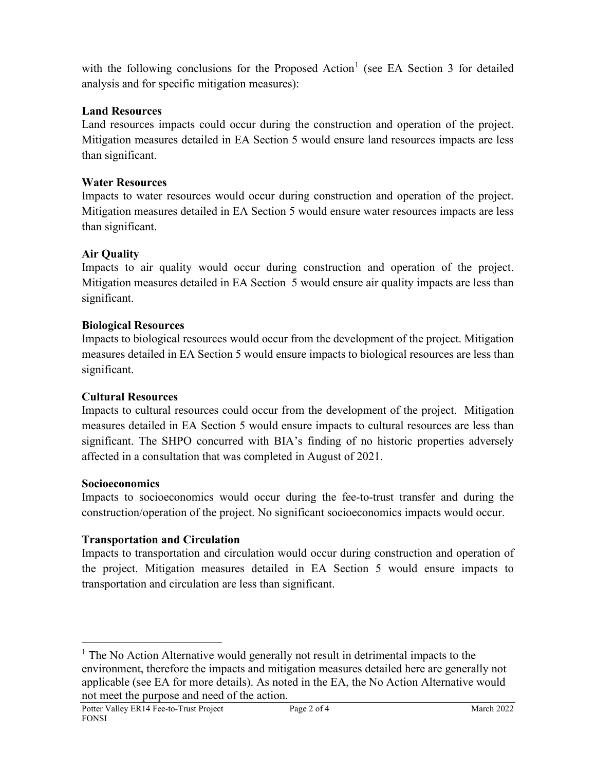with the following conclusions for the Proposed Action<sup>[1](#page-1-0)</sup> (see EA Section 3 for detailed analysis and for specific mitigation measures):

## **Land Resources**

Land resources impacts could occur during the construction and operation of the project. Mitigation measures detailed in EA Section 5 would ensure land resources impacts are less than significant.

## **Water Resources**

Impacts to water resources would occur during construction and operation of the project. Mitigation measures detailed in EA Section 5 would ensure water resources impacts are less than significant.

## **Air Quality**

Impacts to air quality would occur during construction and operation of the project. Mitigation measures detailed in EA Section 5 would ensure air quality impacts are less than significant.

## **Biological Resources**

Impacts to biological resources would occur from the development of the project. Mitigation measures detailed in EA Section 5 would ensure impacts to biological resources are less than significant.

## **Cultural Resources**

Impacts to cultural resources could occur from the development of the project. Mitigation measures detailed in EA Section 5 would ensure impacts to cultural resources are less than significant. The SHPO concurred with BIA's finding of no historic properties adversely affected in a consultation that was completed in August of 2021.

#### **Socioeconomics**

Impacts to socioeconomics would occur during the fee-to-trust transfer and during the construction/operation of the project. No significant socioeconomics impacts would occur.

## **Transportation and Circulation**

Impacts to transportation and circulation would occur during construction and operation of the project. Mitigation measures detailed in EA Section 5 would ensure impacts to transportation and circulation are less than significant.

<span id="page-1-0"></span><sup>&</sup>lt;sup>1</sup> The No Action Alternative would generally not result in detrimental impacts to the environment, therefore the impacts and mitigation measures detailed here are generally not applicable (see EA for more details). As noted in the EA, the No Action Alternative would not meet the purpose and need of the action.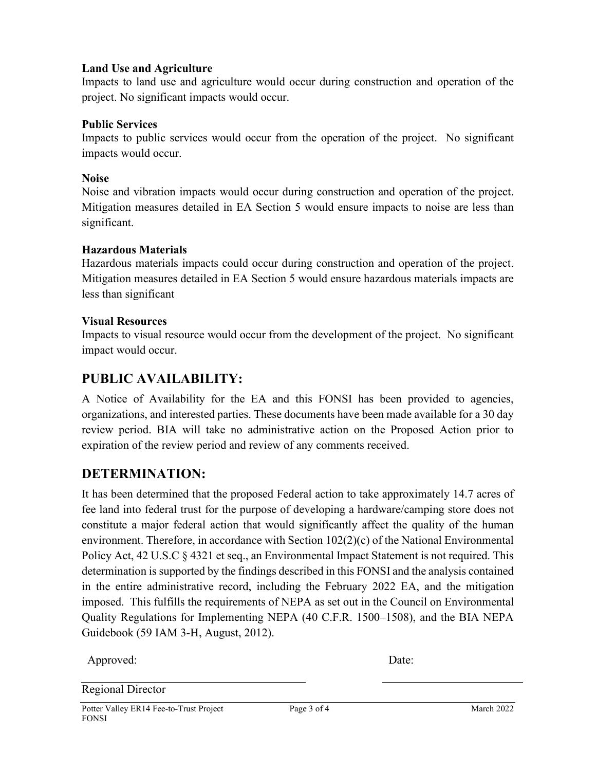#### **Land Use and Agriculture**

Impacts to land use and agriculture would occur during construction and operation of the project. No significant impacts would occur.

#### **Public Services**

Impacts to public services would occur from the operation of the project. No significant impacts would occur.

#### **Noise**

Noise and vibration impacts would occur during construction and operation of the project. Mitigation measures detailed in EA Section 5 would ensure impacts to noise are less than significant.

#### **Hazardous Materials**

Hazardous materials impacts could occur during construction and operation of the project. Mitigation measures detailed in EA Section 5 would ensure hazardous materials impacts are less than significant

#### **Visual Resources**

Impacts to visual resource would occur from the development of the project. No significant impact would occur.

# **PUBLIC AVAILABILITY:**

A Notice of Availability for the EA and this FONSI has been provided to agencies, organizations, and interested parties. These documents have been made available for a 30 day review period. BIA will take no administrative action on the Proposed Action prior to expiration of the review period and review of any comments received.

# **DETERMINATION:**

It has been determined that the proposed Federal action to take approximately 14.7 acres of fee land into federal trust for the purpose of developing a hardware/camping store does not constitute a major federal action that would significantly affect the quality of the human environment. Therefore, in accordance with Section 102(2)(c) of the National Environmental Policy Act, 42 U.S.C § 4321 et seq., an Environmental Impact Statement is not required. This determination is supported by the findings described in this FONSI and the analysis contained in the entire administrative record, including the February 2022 EA, and the mitigation imposed. This fulfills the requirements of NEPA as set out in the Council on Environmental Quality Regulations for Implementing NEPA (40 C.F.R. 1500–1508), and the BIA NEPA Guidebook (59 IAM 3-H, August, 2012).

Approved: Date:

Regional Director